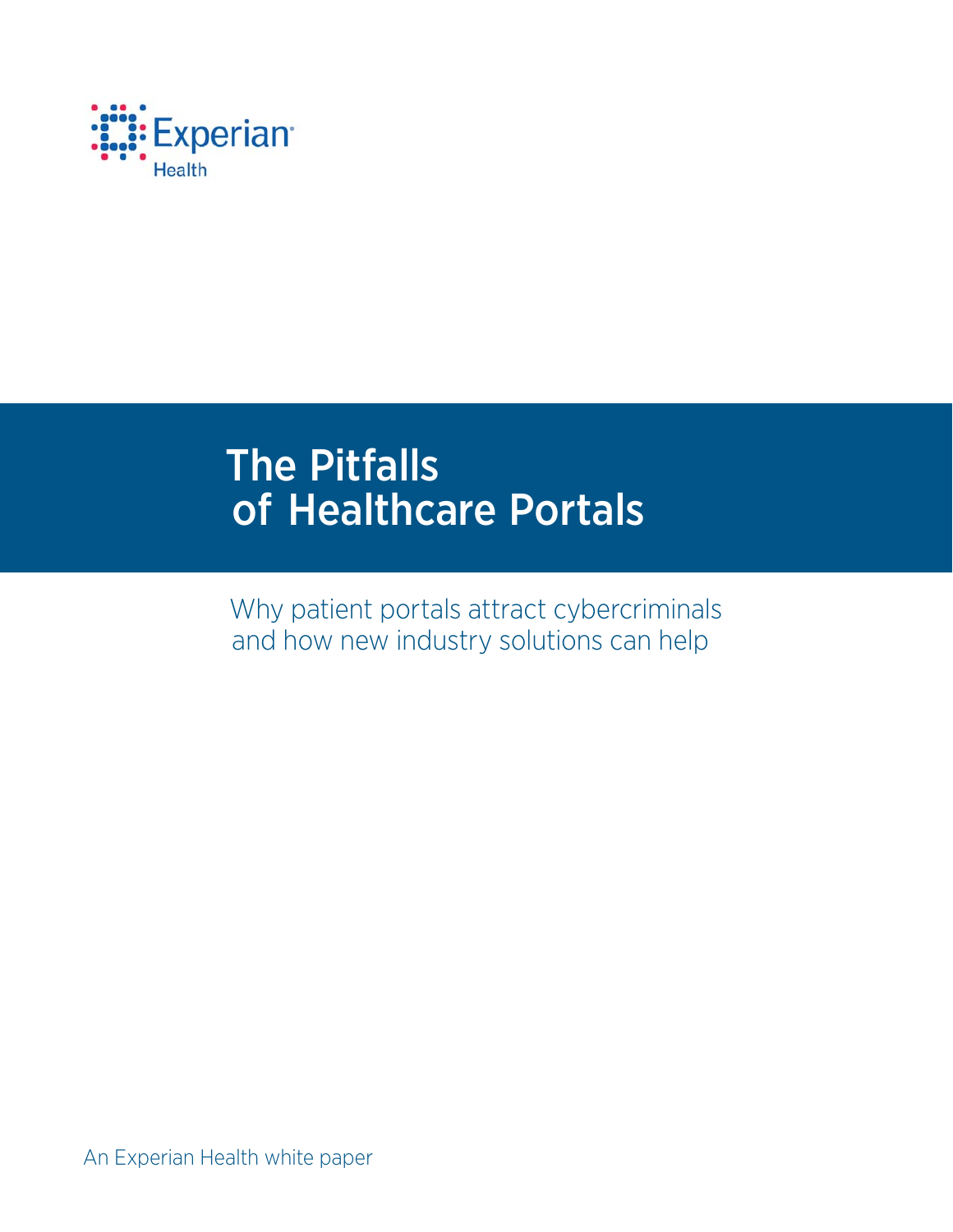

# The Pitfalls of Healthcare Portals

Why patient portals attract cybercriminals and how new industry solutions can help

An Experian Health white paper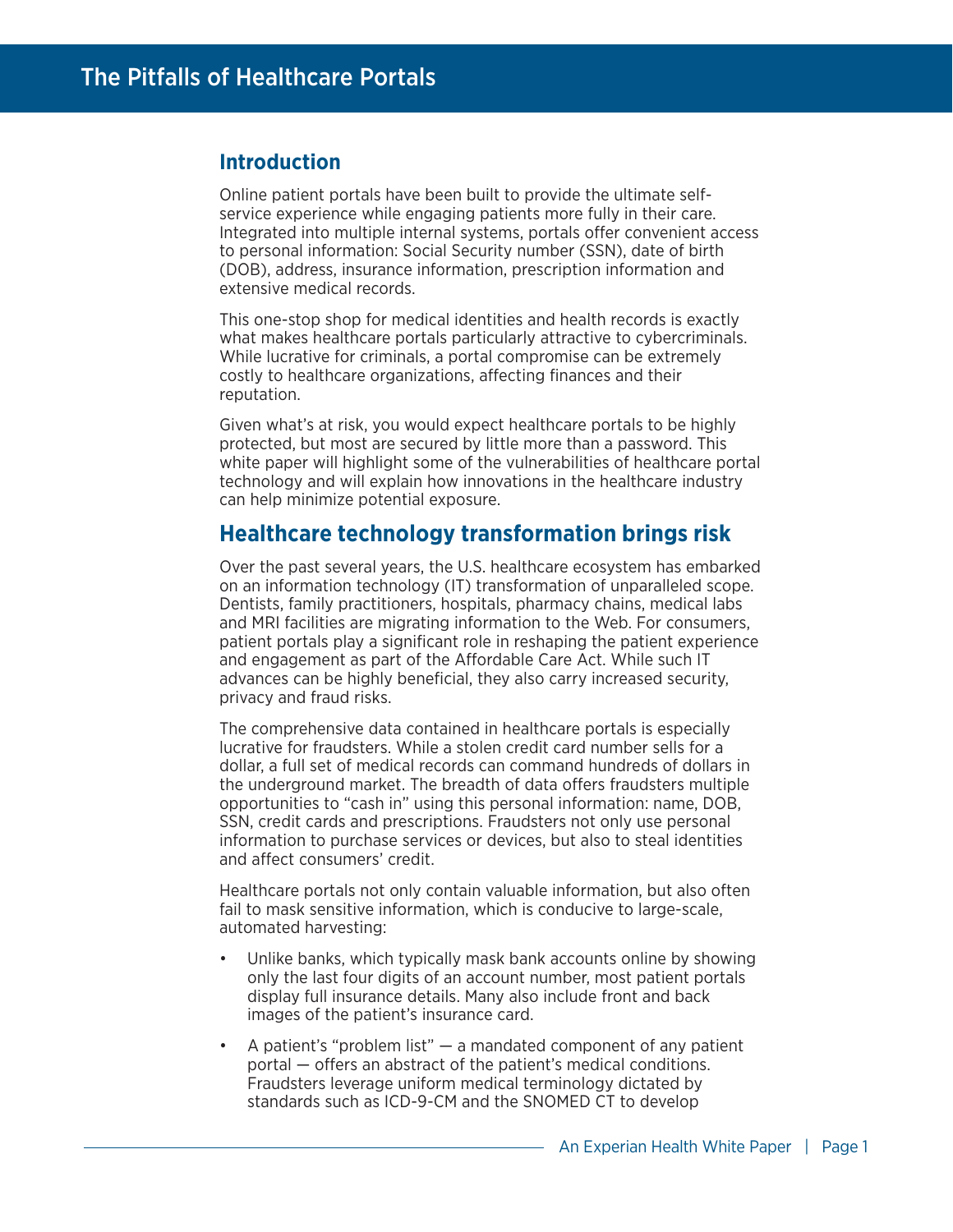## **Introduction**

Online patient portals have been built to provide the ultimate selfservice experience while engaging patients more fully in their care. Integrated into multiple internal systems, portals offer convenient access to personal information: Social Security number (SSN), date of birth (DOB), address, insurance information, prescription information and extensive medical records.

This one-stop shop for medical identities and health records is exactly what makes healthcare portals particularly attractive to cybercriminals. While lucrative for criminals, a portal compromise can be extremely costly to healthcare organizations, affecting finances and their reputation.

Given what's at risk, you would expect healthcare portals to be highly protected, but most are secured by little more than a password. This white paper will highlight some of the vulnerabilities of healthcare portal technology and will explain how innovations in the healthcare industry can help minimize potential exposure.

# **Healthcare technology transformation brings risk**

Over the past several years, the U.S. healthcare ecosystem has embarked on an information technology (IT) transformation of unparalleled scope. Dentists, family practitioners, hospitals, pharmacy chains, medical labs and MRI facilities are migrating information to the Web. For consumers, patient portals play a significant role in reshaping the patient experience and engagement as part of the Affordable Care Act. While such IT advances can be highly beneficial, they also carry increased security, privacy and fraud risks.

The comprehensive data contained in healthcare portals is especially lucrative for fraudsters. While a stolen credit card number sells for a dollar, a full set of medical records can command hundreds of dollars in the underground market. The breadth of data offers fraudsters multiple opportunities to "cash in" using this personal information: name, DOB, SSN, credit cards and prescriptions. Fraudsters not only use personal information to purchase services or devices, but also to steal identities and affect consumers' credit.

Healthcare portals not only contain valuable information, but also often fail to mask sensitive information, which is conducive to large-scale, automated harvesting:

- Unlike banks, which typically mask bank accounts online by showing only the last four digits of an account number, most patient portals display full insurance details. Many also include front and back images of the patient's insurance card.
- A patient's "problem list"  $-$  a mandated component of any patient portal  $-$  offers an abstract of the patient's medical conditions. Fraudsters leverage uniform medical terminology dictated by standards such as ICD-9-CM and the SNOMED CT to develop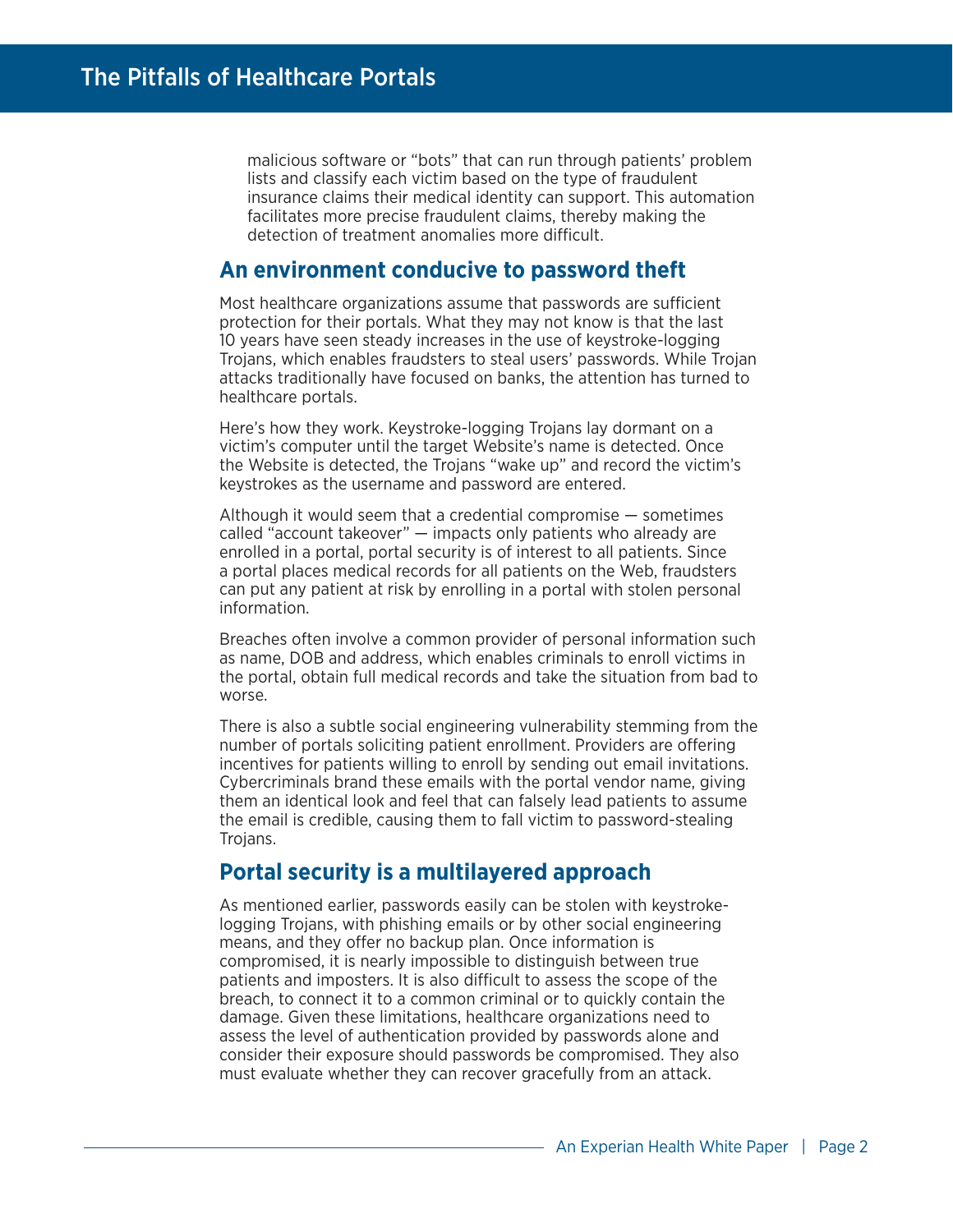malicious software or "bots" that can run through patients' problem lists and classify each victim based on the type of fraudulent insurance claims their medical identity can support. This automation facilitates more precise fraudulent claims, thereby making the detection of treatment anomalies more difficult

## **An environment conducive to password theft**

Most healthcare organizations assume that passwords are sufficient protection for their portals. What they may not know is that the last 10 years have seen steady increases in the use of keystroke-logging Trojans, which enables fraudsters to steal users' passwords. While Trojan attacks traditionally have focused on banks, the attention has turned to healthcare portals.

Here's how they work. Keystroke-logging Trojans lay dormant on a victim's computer until the target Website's name is detected. Once the Website is detected, the Trojans "wake up" and record the victim's keystrokes as the username and password are entered.

Although it would seem that a credential compromise — sometimes called "account takeover" — impacts only patients who already are enrolled in a portal, portal security is of interest to all patients. Since a portal places medical records for all patients on the Web, fraudsters can put any patient at risk by enrolling in a portal with stolen personal information.

Breaches often involve a common provider of personal information such as name, DOB and address, which enables criminals to enroll victims in the portal, obtain full medical records and take the situation from bad to worse.

There is also a subtle social engineering vulnerability stemming from the number of portals soliciting patient enrollment. Providers are offering incentives for patients willing to enroll by sending out email invitations. Cybercriminals brand these emails with the portal vendor name, giving them an identical look and feel that can falsely lead patients to assume the email is credible, causing them to fall victim to password-stealing Trojans.

## **Portal security is a multilayered approach**

As mentioned earlier, passwords easily can be stolen with keystrokelogging Trojans, with phishing emails or by other social engineering means, and they offer no backup plan. Once information is compromised, it is nearly impossible to distinguish between true patients and imposters. It is also difficult to assess the scope of the breach, to connect it to a common criminal or to quickly contain the damage. Given these limitations, healthcare organizations need to assess the level of authentication provided by passwords alone and consider their exposure should passwords be compromised. They also must evaluate whether they can recover gracefully from an attack.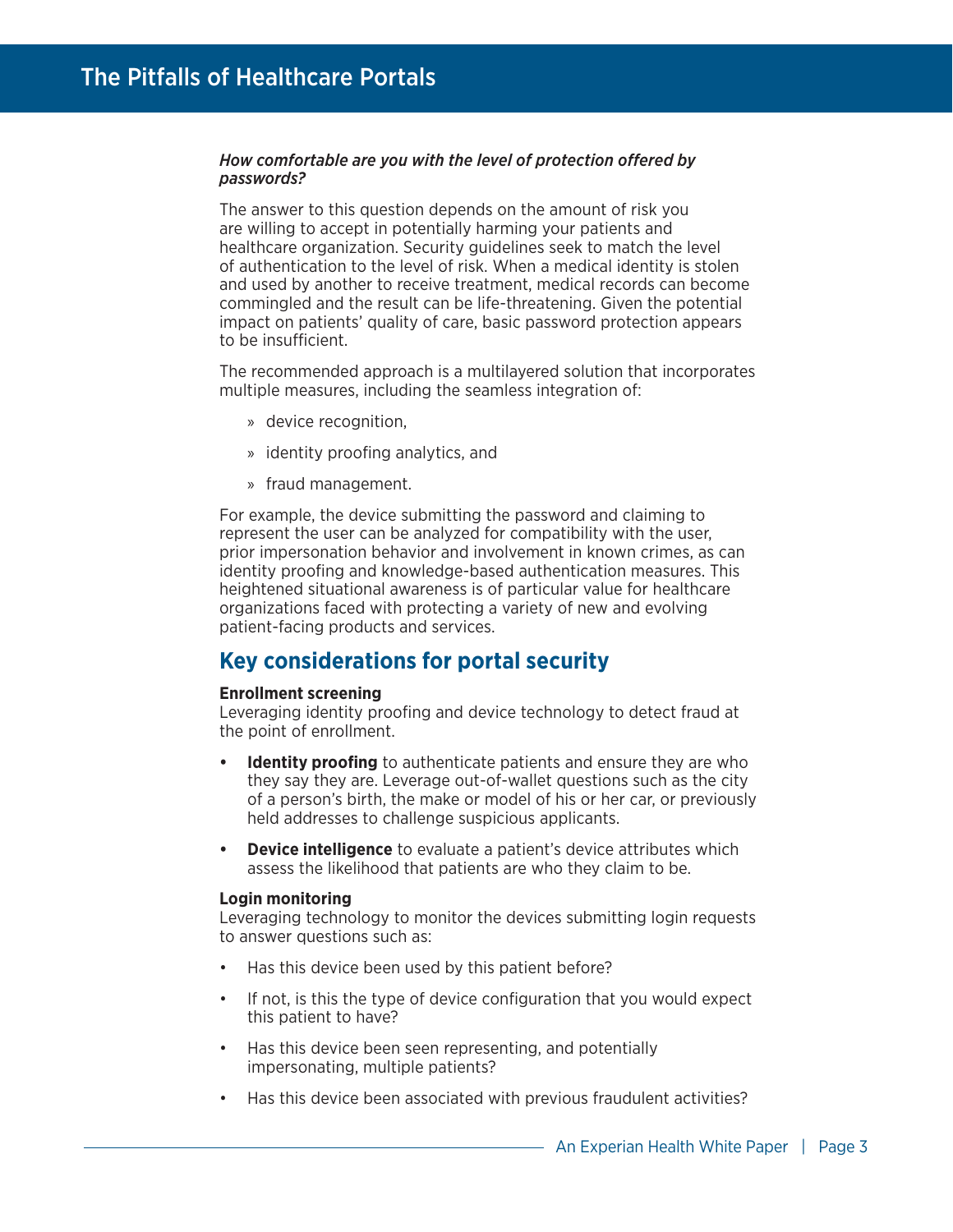## How comfortable are you with the level of protection offered by *passwords?*

The answer to this question depends on the amount of risk you are willing to accept in potentially harming your patients and healthcare organization. Security guidelines seek to match the level of authentication to the level of risk. When a medical identity is stolen and used by another to receive treatment, medical records can become commingled and the result can be life-threatening. Given the potential impact on patients' quality of care, basic password protection appears to be insufficient.

The recommended approach is a multilayered solution that incorporates multiple measures, including the seamless integration of:

- » device recognition,
- » identity proofing analytics, and
- » fraud management.

For example, the device submitting the password and claiming to represent the user can be analyzed for compatibility with the user, prior impersonation behavior and involvement in known crimes, as can identity proofing and knowledge-based authentication measures. This heightened situational awareness is of particular value for healthcare organizations faced with protecting a variety of new and evolving patient-facing products and services.

# **Key considerations for portal security**

#### **Enrollment screening**

Leveraging identity proofing and device technology to detect fraud at the point of enrollment.

- **Identity proofing** to authenticate patients and ensure they are who they say they are. Leverage out-of-wallet questions such as the city of a person's birth, the make or model of his or her car, or previously held addresses to challenge suspicious applicants.
- **Device intelligence** to evaluate a patient's device attributes which assess the likelihood that patients are who they claim to be.

#### **Login monitoring**

Leveraging technology to monitor the devices submitting login requests to answer questions such as:

- Has this device been used by this patient before?
- If not, is this the type of device configuration that you would expect this patient to have?
- Has this device been seen representing, and potentially impersonating, multiple patients?
- Has this device been associated with previous fraudulent activities?